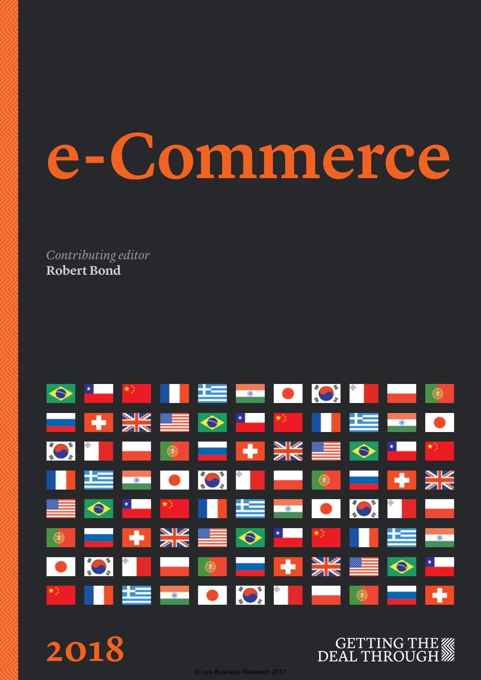# **e-Commerce**

*Contributing editor* **Robert Bond**



**2018**

© Law Business Research 2017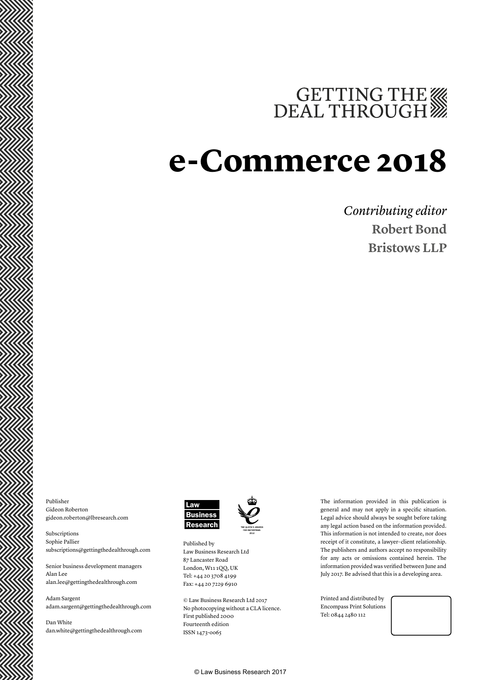## GETTING THE

### **e-Commerce 2018**

### *Contributing editor* **Robert Bond Bristows LLP**

Publisher Gideon Roberton gideon.roberton@lbresearch.com

Subscriptions Sophie Pallier subscriptions@gettingthedealthrough.com

Senior business development managers Alan Lee alan.lee@gettingthedealthrough.com

Adam Sargent adam.sargent@gettingthedealthrough.com

Dan White dan.white@gettingthedealthrough.com





Published by Law Business Research Ltd 87 Lancaster Road London, W11 1QQ, UK Tel: +44 20 3708 4199 Fax: +44 20 7229 6910

© Law Business Research Ltd 2017 No photocopying without a CLA licence. First published 2000 Fourteenth edition ISSN 1473-oo65

The information provided in this publication is general and may not apply in a specific situation. Legal advice should always be sought before taking any legal action based on the information provided. This information is not intended to create, nor does receipt of it constitute, a lawyer–client relationship. The publishers and authors accept no responsibility for any acts or omissions contained herein. The information provided was verified between June and July 2017. Be advised that this is a developing area.

Printed and distributed by Encompass Print Solutions Tel: 0844 2480 112



© Law Business Research 2017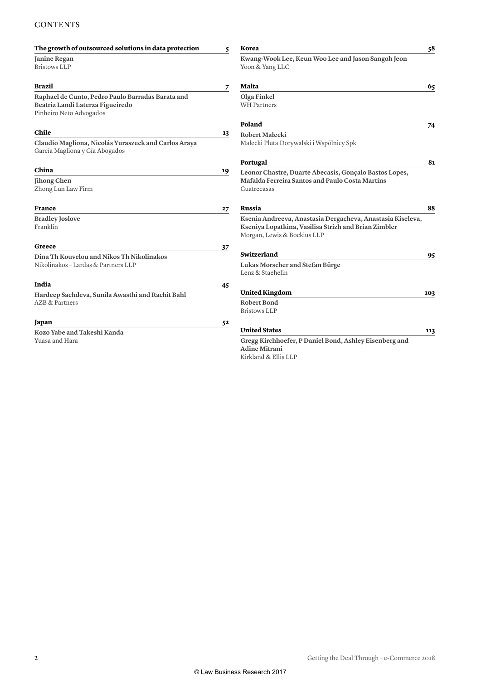#### **CONTENTS**

| The growth of outsourced solutions in data protection                                                            | 5  | Korea                                                                                                                                             | 58  |
|------------------------------------------------------------------------------------------------------------------|----|---------------------------------------------------------------------------------------------------------------------------------------------------|-----|
| Janine Regan<br><b>Bristows LLP</b>                                                                              |    | Kwang-Wook Lee, Keun Woo Lee and Jason Sangoh Jeon<br>Yoon & Yang LLC                                                                             |     |
| Brazil                                                                                                           | 7  | Malta                                                                                                                                             | 65  |
| Raphael de Cunto, Pedro Paulo Barradas Barata and<br>Beatriz Landi Laterza Figueiredo<br>Pinheiro Neto Advogados |    | Olga Finkel<br><b>WH Partners</b>                                                                                                                 |     |
|                                                                                                                  |    | Poland                                                                                                                                            | 74  |
| Chile                                                                                                            | 13 | Robert Małecki                                                                                                                                    |     |
| Claudio Magliona, Nicolás Yuraszeck and Carlos Araya<br>García Magliona y Cía Abogados                           |    | Małecki Pluta Dorywalski i Wspólnicy Spk                                                                                                          |     |
|                                                                                                                  |    | Portugal                                                                                                                                          | 81  |
| China                                                                                                            | 19 | Leonor Chastre, Duarte Abecasis, Gonçalo Bastos Lopes,                                                                                            |     |
| Jihong Chen<br>Zhong Lun Law Firm                                                                                |    | Mafalda Ferreira Santos and Paulo Costa Martins<br>Cuatrecasas                                                                                    |     |
| France                                                                                                           | 27 | Russia                                                                                                                                            | 88  |
| <b>Bradley Joslove</b><br>Franklin                                                                               |    | Ksenia Andreeva, Anastasia Dergacheva, Anastasia Kiseleva,<br>Kseniya Lopatkina, Vasilisa Strizh and Brian Zimbler<br>Morgan, Lewis & Bockius LLP |     |
| Greece                                                                                                           | 37 |                                                                                                                                                   |     |
| Dina Th Kouvelou and Nikos Th Nikolinakos                                                                        |    | Switzerland                                                                                                                                       | 95  |
| Nikolinakos - Lardas & Partners LLP                                                                              |    | Lukas Morscher and Stefan Bürge                                                                                                                   |     |
|                                                                                                                  |    | Lenz & Staehelin                                                                                                                                  |     |
| India                                                                                                            | 45 |                                                                                                                                                   |     |
| Hardeep Sachdeva, Sunila Awasthi and Rachit Bahl                                                                 |    | <b>United Kingdom</b>                                                                                                                             | 103 |
| <b>AZB &amp; Partners</b>                                                                                        |    | <b>Robert Bond</b><br><b>Bristows LLP</b>                                                                                                         |     |
| Japan                                                                                                            | 52 |                                                                                                                                                   |     |
| Kozo Yabe and Takeshi Kanda                                                                                      |    | <b>United States</b>                                                                                                                              | 113 |
| Yuasa and Hara                                                                                                   |    | Gregg Kirchhoefer, P Daniel Bond, Ashley Eisenberg and<br><b>Adine Mitrani</b>                                                                    |     |

Kirkland & Ellis LLP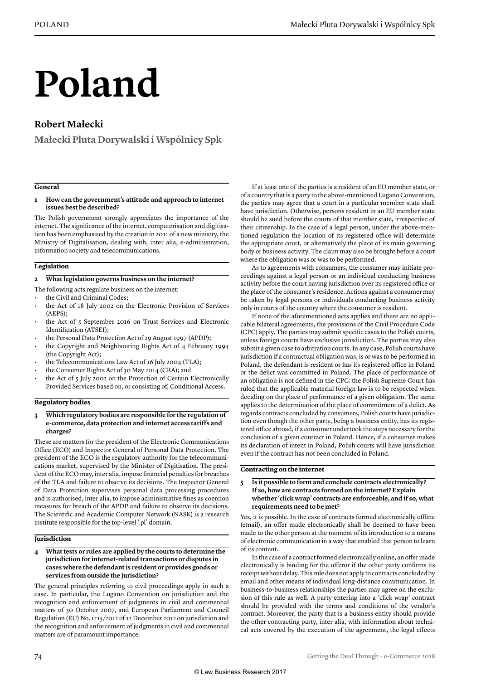# **Poland**

#### **Robert Małecki**

**Małecki Pluta Dorywalski i Wspólnicy Spk**

#### **General**

#### **1 How can the government's attitude and approach to internet issues best be described?**

The Polish government strongly appreciates the importance of the internet. The significance of the internet, computerisation and digitisation has been emphasised by the creation in 2011 of a new ministry, the Ministry of Digitalisation, dealing with, inter alia, e-administration, information society and telecommunications.

#### **Legislation**

#### **2 What legislation governs business on the internet?**

- The following acts regulate business on the internet:
- the Civil and Criminal Codes;
- the Act of 18 July 2002 on the Electronic Provision of Services (AEPS);
- the Act of 5 September 2016 on Trust Services and Electronic Identification (ATSEI);
- the Personal Data Protection Act of 29 August 1997 (APDP);
- the Copyright and Neighbouring Rights Act of 4 February 1994 (the Copyright Act);
- the Telecommunications Law Act of 16 July 2004 (TLA);
- the Consumer Rights Act of 30 May 2014 (CRA); and
- the Act of 5 July 2002 on the Protection of Certain Electronically Provided Services based on, or consisting of, Conditional Access.

#### **Regulatory bodies**

#### **3 Which regulatory bodies are responsible for the regulation of e-commerce, data protection and internet access tariffs and charges?**

These are matters for the president of the Electronic Communications Office (ECO) and Inspector General of Personal Data Protection. The president of the ECO is the regulatory authority for the telecommunications market, supervised by the Minister of Digitisation. The president of the ECO may, inter alia, impose financial penalties for breaches of the TLA and failure to observe its decisions. The Inspector General of Data Protection supervises personal data processing procedures and is authorised, inter alia, to impose administrative fines as coercion measures for breach of the APDP and failure to observe its decisions. The Scientific and Academic Computer Network (NASK) is a research institute responsible for the top-level '.pl' domain.

#### **Jurisdiction**

**4 What tests or rules are applied by the courts to determine the jurisdiction for internet-related transactions or disputes in cases where the defendant is resident or provides goods or services from outside the jurisdiction?**

The general principles referring to civil proceedings apply in such a case. In particular, the Lugano Convention on jurisdiction and the recognition and enforcement of judgments in civil and commercial matters of 30 October 2007, and European Parliament and Council Regulation (EU) No. 1215/2012 of 12 December 2012 on jurisdiction and the recognition and enforcement of judgments in civil and commercial matters are of paramount importance.

If at least one of the parties is a resident of an EU member state, or of a country that is a party to the above-mentioned Lugano Convention, the parties may agree that a court in a particular member state shall have jurisdiction. Otherwise, persons resident in an EU member state should be sued before the courts of that member state, irrespective of their citizenship. In the case of a legal person, under the above-mentioned regulation the location of its registered office will determine the appropriate court, or alternatively the place of its main governing body or business activity. The claim may also be brought before a court where the obligation was or was to be performed.

As to agreements with consumers, the consumer may initiate proceedings against a legal person or an individual conducting business activity before the court having jurisdiction over its registered office or the place of the consumer's residence. Actions against a consumer may be taken by legal persons or individuals conducting business activity only in courts of the country where the consumer is resident.

If none of the aforementioned acts applies and there are no applicable bilateral agreements, the provisions of the Civil Procedure Code (CPC) apply. The parties may submit specific cases to the Polish courts, unless foreign courts have exclusive jurisdiction. The parties may also submit a given case to arbitration courts. In any case, Polish courts have jurisdiction if a contractual obligation was, is or was to be performed in Poland, the defendant is resident or has its registered office in Poland or the delict was committed in Poland. The place of performance of an obligation is not defined in the CPC: the Polish Supreme Court has ruled that the applicable material foreign law is to be respected when deciding on the place of performance of a given obligation. The same applies to the determination of the place of commitment of a delict. As regards contracts concluded by consumers, Polish courts have jurisdiction even though the other party, being a business entity, has its registered office abroad, if a consumer undertook the steps necessary for the conclusion of a given contract in Poland. Hence, if a consumer makes its declaration of intent in Poland, Polish courts will have jurisdiction even if the contract has not been concluded in Poland.

#### **Contracting on the internet**

#### **5 Is it possible to form and conclude contracts electronically? If so, how are contracts formed on the internet? Explain whether 'click wrap' contracts are enforceable, and if so, what requirements need to be met?**

Yes, it is possible. In the case of contracts formed electronically offline (email), an offer made electronically shall be deemed to have been made to the other person at the moment of its introduction to a means of electronic communication in a way that enabled that person to learn of its content.

In the case of a contract formed electronically online, an offer made electronically is binding for the offeror if the other party confirms its receipt without delay. This rule does not apply to contracts concluded by email and other means of individual long-distance communication. In business-to-business relationships the parties may agree on the exclusion of this rule as well. A party entering into a 'click wrap' contract should be provided with the terms and conditions of the vendor's contract. Moreover, the party that is a business entity should provide the other contracting party, inter alia, with information about technical acts covered by the execution of the agreement, the legal effects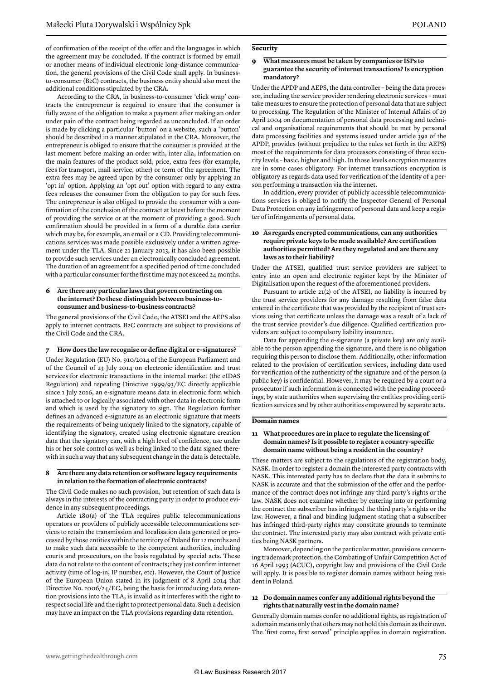of confirmation of the receipt of the offer and the languages in which the agreement may be concluded. If the contract is formed by email or another means of individual electronic long-distance communication, the general provisions of the Civil Code shall apply. In businessto-consumer (B2C) contracts, the business entity should also meet the additional conditions stipulated by the CRA.

According to the CRA, in business-to-consumer 'click wrap' contracts the entrepreneur is required to ensure that the consumer is fully aware of the obligation to make a payment after making an order under pain of the contract being regarded as unconcluded. If an order is made by clicking a particular 'button' on a website, such a 'button' should be described in a manner stipulated in the CRA. Moreover, the entrepreneur is obliged to ensure that the consumer is provided at the last moment before making an order with, inter alia, information on the main features of the product sold, price, extra fees (for example, fees for transport, mail service, other) or term of the agreement. The extra fees may be agreed upon by the consumer only by applying an 'opt in' option. Applying an 'opt out' option with regard to any extra fees releases the consumer from the obligation to pay for such fees. The entrepreneur is also obliged to provide the consumer with a confirmation of the conclusion of the contract at latest before the moment of providing the service or at the moment of providing a good. Such confirmation should be provided in a form of a durable data carrier which may be, for example, an email or a CD. Providing telecommunications services was made possible exclusively under a written agreement under the TLA. Since 21 January 2013, it has also been possible to provide such services under an electronically concluded agreement. The duration of an agreement for a specified period of time concluded with a particular consumer for the first time may not exceed 24 months.

#### **6 Are there any particular laws that govern contracting on the internet? Do these distinguish between business-toconsumer and business-to-business contracts?**

The general provisions of the Civil Code, the ATSEI and the AEPS also apply to internet contracts. B2C contracts are subject to provisions of the Civil Code and the CRA.

#### **7 How does the law recognise or define digital or e-signatures?**

Under Regulation (EU) No. 910/2014 of the European Parliament and of the Council of 23 July 2014 on electronic identification and trust services for electronic transactions in the internal market (the eIDAS Regulation) and repealing Directive 1999/93/EC directly applicable since 1 July 2016, an e-signature means data in electronic form which is attached to or logically associated with other data in electronic form and which is used by the signatory to sign. The Regulation further defines an advanced e-signature as an electronic signature that meets the requirements of being uniquely linked to the signatory, capable of identifying the signatory, created using electronic signature creation data that the signatory can, with a high level of confidence, use under his or her sole control as well as being linked to the data signed therewith in such a way that any subsequent change in the data is detectable.

#### **8 Are there any data retention or software legacy requirements in relation to the formation of electronic contracts?**

The Civil Code makes no such provision, but retention of such data is always in the interests of the contracting party in order to produce evidence in any subsequent proceedings.

Article 180(a) of the TLA requires public telecommunications operators or providers of publicly accessible telecommunications services to retain the transmission and localisation data generated or processed by those entities within the territory of Poland for 12 months and to make such data accessible to the competent authorities, including courts and prosecutors, on the basis regulated by special acts. These data do not relate to the content of contracts; they just confirm internet activity (time of log-in, IP number, etc). However, the Court of Justice of the European Union stated in its judgment of 8 April 2014 that Directive No. 2006/24/EC, being the basis for introducing data retention provisions into the TLA, is invalid as it interferes with the right to respect social life and the right to protect personal data. Such a decision may have an impact on the TLA provisions regarding data retention.

#### **Security**

#### **9 What measures must be taken by companies or ISPs to guarantee the security of internet transactions? Is encryption mandatory?**

Under the APDP and AEPS, the data controller – being the data processor, including the service provider rendering electronic services – must take measures to ensure the protection of personal data that are subject to processing. The Regulation of the Minister of Internal Affairs of 29 April 2004 on documentation of personal data processing and technical and organisational requirements that should be met by personal data processing facilities and systems issued under article 39a of the APDP, provides (without prejudice to the rules set forth in the AEPS) most of the requirements for data processors consisting of three security levels – basic, higher and high. In those levels encryption measures are in some cases obligatory. For internet transactions encryption is obligatory as regards data used for verification of the identity of a person performing a transaction via the internet.

In addition, every provider of publicly accessible telecommunications services is obliged to notify the Inspector General of Personal Data Protection on any infringement of personal data and keep a register of infringements of personal data.

#### **10 As regards encrypted communications, can any authorities require private keys to be made available? Are certification authorities permitted? Are they regulated and are there any laws as to their liability?**

Under the ATSEI, qualified trust service providers are subject to entry into an open and electronic register kept by the Minister of Digitalisation upon the request of the aforementioned providers.

Pursuant to article 21(2) of the ATSEI, no liability is incurred by the trust service providers for any damage resulting from false data entered in the certificate that was provided by the recipient of trust services using that certificate unless the damage was a result of a lack of the trust service provider's due diligence. Qualified certification providers are subject to compulsory liability insurance.

Data for appending the e-signature (a private key) are only available to the person appending the signature, and there is no obligation requiring this person to disclose them. Additionally, other information related to the provision of certification services, including data used for verification of the authenticity of the signature and of the person (a public key) is confidential. However, it may be required by a court or a prosecutor if such information is connected with the pending proceedings, by state authorities when supervising the entities providing certification services and by other authorities empowered by separate acts.

#### **Domain names**

#### **11 What procedures are in place to regulate the licensing of domain names? Is it possible to register a country-specific domain name without being a resident in the country?**

These matters are subject to the regulations of the registration body, NASK. In order to register a domain the interested party contracts with NASK. This interested party has to declare that the data it submits to NASK is accurate and that the submission of the offer and the performance of the contract does not infringe any third party's rights or the law. NASK does not examine whether by entering into or performing the contract the subscriber has infringed the third party's rights or the law. However, a final and binding judgment stating that a subscriber has infringed third-party rights may constitute grounds to terminate the contract. The interested party may also contract with private entities being NASK partners.

Moreover, depending on the particular matter, provisions concerning trademark protection, the Combating of Unfair Competition Act of 16 April 1993 (ACUC), copyright law and provisions of the Civil Code will apply. It is possible to register domain names without being resident in Poland.

#### **12 Do domain names confer any additional rights beyond the rights that naturally vest in the domain name?**

Generally domain names confer no additional rights, as registration of a domain means only that others may not hold this domain as their own. The 'first come, first served' principle applies in domain registration.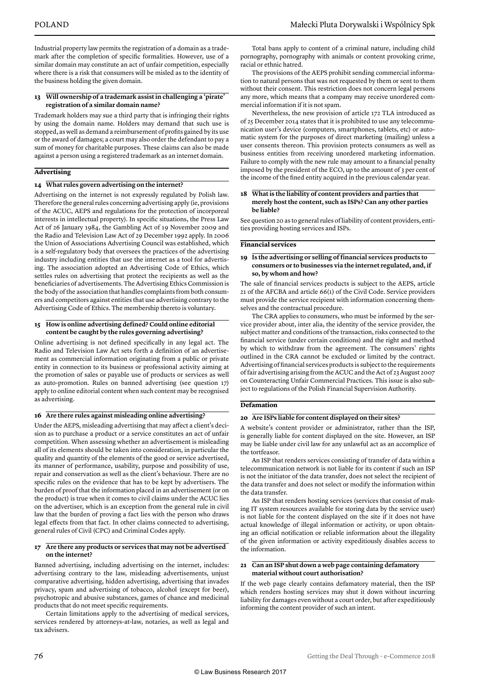Industrial property law permits the registration of a domain as a trademark after the completion of specific formalities. However, use of a similar domain may constitute an act of unfair competition, especially where there is a risk that consumers will be misled as to the identity of the business holding the given domain.

#### **13 Will ownership of a trademark assist in challenging a 'pirate' registration of a similar domain name?**

Trademark holders may sue a third party that is infringing their rights by using the domain name. Holders may demand that such use is stopped, as well as demand a reimbursement of profits gained by its use or the award of damages; a court may also order the defendant to pay a sum of money for charitable purposes. These claims can also be made against a person using a registered trademark as an internet domain.

#### **Advertising**

#### **14 What rules govern advertising on the internet?**

Advertising on the internet is not expressly regulated by Polish law. Therefore the general rules concerning advertising apply (ie, provisions of the ACUC, AEPS and regulations for the protection of incorporeal interests in intellectual property). In specific situations, the Press Law Act of 26 January 1984, the Gambling Act of 19 November 2009 and the Radio and Television Law Act of 29 December 1992 apply. In 2006 the Union of Associations Advertising Council was established, which is a self-regulatory body that oversees the practices of the advertising industry including entities that use the internet as a tool for advertising. The association adopted an Advertising Code of Ethics, which settles rules on advertising that protect the recipients as well as the beneficiaries of advertisements. The Advertising Ethics Commission is the body of the association that handles complaints from both consumers and competitors against entities that use advertising contrary to the Advertising Code of Ethics. The membership thereto is voluntary.

#### **15 How is online advertising defined? Could online editorial content be caught by the rules governing advertising?**

Online advertising is not defined specifically in any legal act. The Radio and Television Law Act sets forth a definition of an advertisement as commercial information originating from a public or private entity in connection to its business or professional activity aiming at the promotion of sales or payable use of products or services as well as auto-promotion. Rules on banned advertising (see question 17) apply to online editorial content when such content may be recognised as advertising.

#### **16 Are there rules against misleading online advertising?**

Under the AEPS, misleading advertising that may affect a client's decision as to purchase a product or a service constitutes an act of unfair competition. When assessing whether an advertisement is misleading all of its elements should be taken into consideration, in particular the quality and quantity of the elements of the good or service advertised, its manner of performance, usability, purpose and possibility of use, repair and conservation as well as the client's behaviour. There are no specific rules on the evidence that has to be kept by advertisers. The burden of proof that the information placed in an advertisement (or on the product) is true when it comes to civil claims under the ACUC lies on the advertiser, which is an exception from the general rule in civil law that the burden of proving a fact lies with the person who draws legal effects from that fact. In other claims connected to advertising, general rules of Civil (CPC) and Criminal Codes apply.

#### **17 Are there any products or services that may not be advertised on the internet?**

Banned advertising, including advertising on the internet, includes: advertising contrary to the law, misleading advertisements, unjust comparative advertising, hidden advertising, advertising that invades privacy, spam and advertising of tobacco, alcohol (except for beer), psychotropic and abusive substances, games of chance and medicinal products that do not meet specific requirements.

Certain limitations apply to the advertising of medical services, services rendered by attorneys-at-law, notaries, as well as legal and tax advisers.

Total bans apply to content of a criminal nature, including child pornography, pornography with animals or content provoking crime, racial or ethnic hatred.

The provisions of the AEPS prohibit sending commercial information to natural persons that was not requested by them or sent to them without their consent. This restriction does not concern legal persons any more, which means that a company may receive unordered commercial information if it is not spam.

Nevertheless, the new provision of article 172 TLA introduced as of 25 December 2014 states that it is prohibited to use any telecommunication user's device (computers, smartphones, tablets, etc) or automatic system for the purposes of direct marketing (mailing) unless a user consents thereon. This provision protects consumers as well as business entities from receiving unordered marketing information. Failure to comply with the new rule may amount to a financial penalty imposed by the president of the ECO, up to the amount of 3 per cent of the income of the fined entity acquired in the previous calendar year.

#### **18 What is the liability of content providers and parties that merely host the content, such as ISPs? Can any other parties be liable?**

See question 20 as to general rules of liability of content providers, entities providing hosting services and ISPs.

#### **Financial services**

#### **19 Is the advertising or selling of financial services products to consumers or to businesses via the internet regulated, and, if so, by whom and how?**

The sale of financial services products is subject to the AEPS, article 21 of the AFCBA and article 66(1) of the Civil Code. Service providers must provide the service recipient with information concerning themselves and the contractual procedure.

The CRA applies to consumers, who must be informed by the service provider about, inter alia, the identity of the service provider, the subject matter and conditions of the transaction, risks connected to the financial service (under certain conditions) and the right and method by which to withdraw from the agreement. The consumers' rights outlined in the CRA cannot be excluded or limited by the contract. Advertising of financial services products is subject to the requirements of fair advertising arising from the ACUC and the Act of 23 August 2007 on Counteracting Unfair Commercial Practices. This issue is also subject to regulations of the Polish Financial Supervision Authority.

#### **Defamation**

#### **20 Are ISPs liable for content displayed on their sites?**

A website's content provider or administrator, rather than the ISP, is generally liable for content displayed on the site. However, an ISP may be liable under civil law for any unlawful act as an accomplice of the tortfeasor.

An ISP that renders services consisting of transfer of data within a telecommunication network is not liable for its content if such an ISP is not the initiator of the data transfer, does not select the recipient of the data transfer and does not select or modify the information within the data transfer.

An ISP that renders hosting services (services that consist of making IT system resources available for storing data by the service user) is not liable for the content displayed on the site if it does not have actual knowledge of illegal information or activity, or upon obtaining an official notification or reliable information about the illegality of the given information or activity expeditiously disables access to the information.

#### **21 Can an ISP shut down a web page containing defamatory material without court authorisation?**

If the web page clearly contains defamatory material, then the ISP which renders hosting services may shut it down without incurring liability for damages even without a court order, but after expeditiously informing the content provider of such an intent.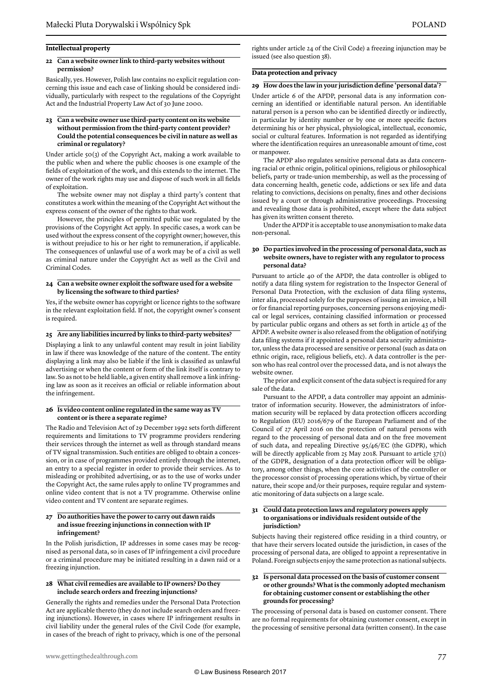#### **Intellectual property**

#### **22 Can a website owner link to third-party websites without permission?**

Basically, yes. However, Polish law contains no explicit regulation concerning this issue and each case of linking should be considered individually, particularly with respect to the regulations of the Copyright Act and the Industrial Property Law Act of 30 June 2000.

#### **23 Can a website owner use third-party content on its website without permission from the third-party content provider? Could the potential consequences be civil in nature as well as criminal or regulatory?**

Under article 50(3) of the Copyright Act, making a work available to the public when and where the public chooses is one example of the fields of exploitation of the work, and this extends to the internet. The owner of the work rights may use and dispose of such work in all fields of exploitation.

The website owner may not display a third party's content that constitutes a work within the meaning of the Copyright Act without the express consent of the owner of the rights to that work.

However, the principles of permitted public use regulated by the provisions of the Copyright Act apply. In specific cases, a work can be used without the express consent of the copyright owner; however, this is without prejudice to his or her right to remuneration, if applicable. The consequences of unlawful use of a work may be of a civil as well as criminal nature under the Copyright Act as well as the Civil and Criminal Codes.

#### **24 Can a website owner exploit the software used for a website by licensing the software to third parties?**

Yes, if the website owner has copyright or licence rights to the software in the relevant exploitation field. If not, the copyright owner's consent is required.

#### **25 Are any liabilities incurred by links to third-party websites?**

Displaying a link to any unlawful content may result in joint liability in law if there was knowledge of the nature of the content. The entity displaying a link may also be liable if the link is classified as unlawful advertising or when the content or form of the link itself is contrary to law. So as not to be held liable, a given entity shall remove a link infringing law as soon as it receives an official or reliable information about the infringement.

#### **26 Is video content online regulated in the same way as TV content or is there a separate regime?**

The Radio and Television Act of 29 December 1992 sets forth different requirements and limitations to TV programme providers rendering their services through the internet as well as through standard means of TV signal transmission. Such entities are obliged to obtain a concession, or in case of programmes provided entirely through the internet, an entry to a special register in order to provide their services. As to misleading or prohibited advertising, or as to the use of works under the Copyright Act, the same rules apply to online TV programmes and online video content that is not a TV programme. Otherwise online video content and TV content are separate regimes.

#### **27 Do authorities have the power to carry out dawn raids and issue freezing injunctions in connection with IP infringement?**

In the Polish jurisdiction, IP addresses in some cases may be recognised as personal data, so in cases of IP infringement a civil procedure or a criminal procedure may be initiated resulting in a dawn raid or a freezing injunction.

#### **28 What civil remedies are available to IP owners? Do they include search orders and freezing injunctions?**

Generally the rights and remedies under the Personal Data Protection Act are applicable thereto (they do not include search orders and freezing injunctions). However, in cases where IP infringement results in civil liability under the general rules of the Civil Code (for example, in cases of the breach of right to privacy, which is one of the personal rights under article 24 of the Civil Code) a freezing injunction may be issued (see also question 38).

#### **Data protection and privacy**

#### **29 How does the law in your jurisdiction define 'personal data'?**

Under article 6 of the APDP, personal data is any information concerning an identified or identifiable natural person. An identifiable natural person is a person who can be identified directly or indirectly, in particular by identity number or by one or more specific factors determining his or her physical, physiological, intellectual, economic, social or cultural features. Information is not regarded as identifying where the identification requires an unreasonable amount of time, cost or manpower.

The APDP also regulates sensitive personal data as data concerning racial or ethnic origin, political opinions, religious or philosophical beliefs, party or trade-union membership, as well as the processing of data concerning health, genetic code, addictions or sex life and data relating to convictions, decisions on penalty, fines and other decisions issued by a court or through administrative proceedings. Processing and revealing those data is prohibited, except where the data subject has given its written consent thereto.

Under the APDP it is acceptable to use anonymisation to make data non-personal.

#### **30 Do parties involved in the processing of personal data, such as website owners, have to register with any regulator to process personal data?**

Pursuant to article 40 of the APDP, the data controller is obliged to notify a data filing system for registration to the Inspector General of Personal Data Protection, with the exclusion of data filing systems, inter alia, processed solely for the purposes of issuing an invoice, a bill or for financial reporting purposes, concerning persons enjoying medical or legal services, containing classified information or processed by particular public organs and others as set forth in article 43 of the APDP. A website owner is also released from the obligation of notifying data filing systems if it appointed a personal data security administrator, unless the data processed are sensitive or personal (such as data on ethnic origin, race, religious beliefs, etc). A data controller is the person who has real control over the processed data, and is not always the website owner.

The prior and explicit consent of the data subject is required for any sale of the data.

Pursuant to the APDP, a data controller may appoint an administrator of information security. However, the administrators of information security will be replaced by data protection officers according to Regulation (EU) 2016/679 of the European Parliament and of the Council of 27 April 2016 on the protection of natural persons with regard to the processing of personal data and on the free movement of such data, and repealing Directive 95/46/EC (the GDPR), which will be directly applicable from 25 May 2018. Pursuant to article 37(1) of the GDPR, designation of a data protection officer will be obligatory, among other things, when the core activities of the controller or the processor consist of processing operations which, by virtue of their nature, their scope and/or their purposes, require regular and systematic monitoring of data subjects on a large scale.

#### **31 Could data protection laws and regulatory powers apply to organisations or individuals resident outside of the jurisdiction?**

Subjects having their registered office residing in a third country, or that have their servers located outside the jurisdiction, in cases of the processing of personal data, are obliged to appoint a representative in Poland. Foreign subjects enjoy the same protection as national subjects.

#### **32 Is personal data processed on the basis of customer consent or other grounds? What is the commonly adopted mechanism for obtaining customer consent or establishing the other grounds for processing?**

The processing of personal data is based on customer consent. There are no formal requirements for obtaining customer consent, except in the processing of sensitive personal data (written consent). In the case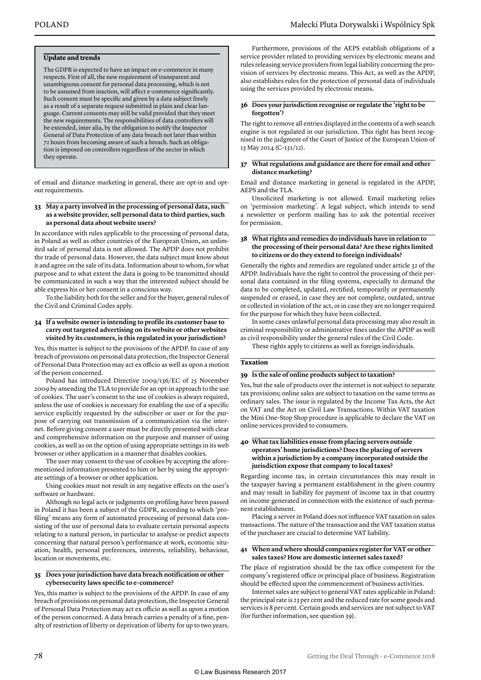#### **Update and trends**

The GDPR is expected to have an impact on e-commerce in many respects. First of all, the new requirement of transparent and unambiguous consent for personal data processing, which is not to be assumed from inaction, will affect e-commerce significantly. Such consent must be specific and given by a data subject freely as a result of a separate request submitted in plain and clear language. Current consents may still be valid provided that they meet the new requirements. The responsibilities of data controllers will be extended, inter alia, by the obligation to notify the Inspector General of Data Protection of any data breach not later than within 72 hours from becoming aware of such a breach. Such an obligation is imposed on controllers regardless of the sector in which they operate.

of email and distance marketing in general, there are opt-in and optout requirements.

#### **33 May a party involved in the processing of personal data, such as a website provider, sell personal data to third parties, such as personal data about website users?**

In accordance with rules applicable to the processing of personal data, in Poland as well as other countries of the European Union, an unlimited sale of personal data is not allowed. The APDP does not prohibit the trade of personal data. However, the data subject must know about it and agree on the sale of its data. Information about to whom, for what purpose and to what extent the data is going to be transmitted should be communicated in such a way that the interested subject should be able express his or her consent in a conscious way.

To the liability both for the seller and for the buyer, general rules of the Civil and Criminal Codes apply.

#### **34 If a website owner is intending to profile its customer base to carry out targeted advertising on its website or other websites visited by its customers, is this regulated in your jurisdiction?**

Yes, this matter is subject to the provisions of the APDP. In case of any breach of provisions on personal data protection, the Inspector General of Personal Data Protection may act ex officio as well as upon a motion of the person concerned.

Poland has introduced Directive 2009/136/EC of 25 November 2009 by amending the TLA to provide for an opt-in approach to the use of cookies. The user's consent to the use of cookies is always required, unless the use of cookies is necessary for enabling the use of a specific service explicitly requested by the subscriber or user or for the purpose of carrying out transmission of a communication via the internet. Before giving consent a user must be directly presented with clear and comprehensive information on the purpose and manner of using cookies, as well as on the option of using appropriate settings in its web browser or other application in a manner that disables cookies.

The user may consent to the use of cookies by accepting the aforementioned information presented to him or her by using the appropriate settings of a browser or other application.

Using cookies must not result in any negative effects on the user's software or hardware.

Although no legal acts or judgments on profiling have been passed in Poland it has been a subject of the GDPR, according to which 'profiling' means any form of automated processing of personal data consisting of the use of personal data to evaluate certain personal aspects relating to a natural person, in particular to analyse or predict aspects concerning that natural person's performance at work, economic situation, health, personal preferences, interests, reliability, behaviour, location or movements, etc.

#### **35 Does your jurisdiction have data breach notification or other cybersecurity laws specific to e-commerce?**

Yes, this matter is subject to the provisions of the APDP. In case of any breach of provisions on personal data protection, the Inspector General of Personal Data Protection may act ex officio as well as upon a motion of the person concerned. A data breach carries a penalty of a fine, penalty of restriction of liberty or deprivation of liberty for up to two years.

Furthermore, provisions of the AEPS establish obligations of a service provider related to providing services by electronic means and rules releasing service providers from legal liability concerning the provision of services by electronic means. This Act, as well as the APDP, also establishes rules for the protection of personal data of individuals using the services provided by electronic means.

#### **36 Does your jurisdiction recognise or regulate the 'right to be forgotten'?**

The right to remove all entries displayed in the contents of a web search engine is not regulated in our jurisdiction. This right has been recognised in the judgment of the Court of Justice of the European Union of 13 May 2014 (C-131/12).

#### **37 What regulations and guidance are there for email and other distance marketing?**

Email and distance marketing in general is regulated in the APDP, AEPS and the TLA.

Unsolicited marketing is not allowed. Email marketing relies on 'permission marketing'. A legal subject, which intends to send a newsletter or perform mailing has to ask the potential receiver for permission.

#### **38 What rights and remedies do individuals have in relation to the processing of their personal data? Are these rights limited to citizens or do they extend to foreign individuals?**

Generally the rights and remedies are regulated under article 32 of the APDP. Individuals have the right to control the processing of their personal data contained in the filing systems, especially to demand the data to be completed, updated, rectified, temporarily or permanently suspended or erased, in case they are not complete, outdated, untrue or collected in violation of the act, or in case they are no longer required for the purpose for which they have been collected.

In some cases unlawful personal data processing may also result in criminal responsibility or administrative fines under the APDP as well as civil responsibility under the general rules of the Civil Code.

These rights apply to citizens as well as foreign individuals.

#### **Taxation**

#### **39 Is the sale of online products subject to taxation?**

Yes, but the sale of products over the internet is not subject to separate tax provisions; online sales are subject to taxation on the same terms as ordinary sales. The issue is regulated by the Income Tax Acts, the Act on VAT and the Act on Civil Law Transactions. Within VAT taxation the Mini One-Stop Shop procedure is applicable to declare the VAT on online services provided to consumers.

#### **40 What tax liabilities ensue from placing servers outside operators' home jurisdictions? Does the placing of servers within a jurisdiction by a company incorporated outside the jurisdiction expose that company to local taxes?**

Regarding income tax, in certain circumstances this may result in the taxpayer having a permanent establishment in the given country and may result in liability for payment of income tax in that country on income generated in connection with the existence of such permanent establishment.

Placing a server in Poland does not influence VAT taxation on sales transactions. The nature of the transaction and the VAT taxation status of the purchaser are crucial to determine VAT liability.

#### **41 When and where should companies register for VAT or other sales taxes? How are domestic internet sales taxed?**

The place of registration should be the tax office competent for the company's registered office or principal place of business. Registration should be effected upon the commencement of business activities.

Internet sales are subject to general VAT rates applicable in Poland: the principal rate is 23 per cent and the reduced rate for some goods and services is 8 per cent. Certain goods and services are not subject to VAT (for further information, see question 39).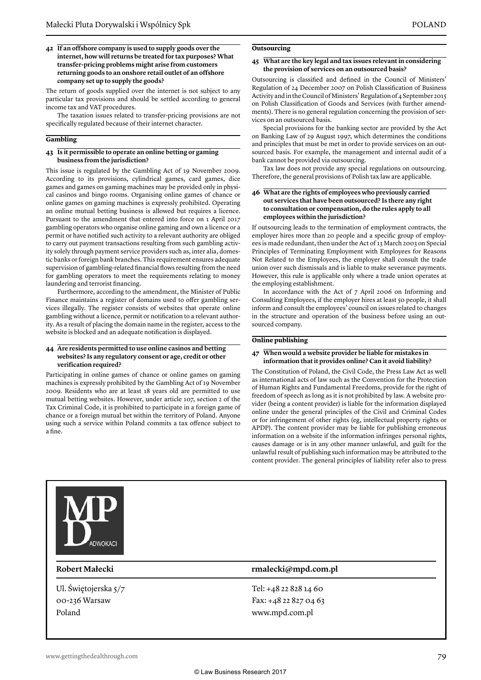#### **42 If an offshore company is used to supply goods over the internet, how will returns be treated for tax purposes? What transfer-pricing problems might arise from customers returning goods to an onshore retail outlet of an offshore company set up to supply the goods?**

The return of goods supplied over the internet is not subject to any particular tax provisions and should be settled according to general income tax and VAT procedures.

The taxation issues related to transfer-pricing provisions are not specifically regulated because of their internet character.

#### **Gambling**

#### **43 Is it permissible to operate an online betting or gaming business from the jurisdiction?**

This issue is regulated by the Gambling Act of 19 November 2009. According to its provisions, cylindrical games, card games, dice games and games on gaming machines may be provided only in physical casinos and bingo rooms. Organising online games of chance or online games on gaming machines is expressly prohibited. Operating an online mutual betting business is allowed but requires a licence. Pursuant to the amendment that entered into force on 1 April 2017 gambling operators who organise online gaming and own a licence or a permit or have notified such activity to a relevant authority are obliged to carry out payment transactions resulting from such gambling activity solely through payment service providers such as, inter alia, domestic banks or foreign bank branches. This requirement ensures adequate supervision of gambling-related financial flows resulting from the need for gambling operators to meet the requirements relating to money laundering and terrorist financing.

Furthermore, according to the amendment, the Minister of Public Finance maintains a register of domains used to offer gambling services illegally. The register consists of websites that operate online gambling without a licence, permit or notification to a relevant authority. As a result of placing the domain name in the register, access to the website is blocked and an adequate notification is displayed.

#### **44 Are residents permitted to use online casinos and betting websites? Is any regulatory consent or age, credit or other verification required?**

Participating in online games of chance or online games on gaming machines is expressly prohibited by the Gambling Act of 19 November 2009. Residents who are at least 18 years old are permitted to use mutual betting websites. However, under article 107, section 2 of the Tax Criminal Code, it is prohibited to participate in a foreign game of chance or a foreign mutual bet within the territory of Poland. Anyone using such a service within Poland commits a tax offence subject to a fine.

#### **Outsourcing**

#### **45 What are the key legal and tax issues relevant in considering the provision of services on an outsourced basis?**

Outsourcing is classified and defined in the Council of Ministers' Regulation of 24 December 2007 on Polish Classification of Business Activity and in the Council of Ministers' Regulation of 4 September 2015 on Polish Classification of Goods and Services (with further amendments). There is no general regulation concerning the provision of services on an outsourced basis.

Special provisions for the banking sector are provided by the Act on Banking Law of 29 August 1997, which determines the conditions and principles that must be met in order to provide services on an outsourced basis. For example, the management and internal audit of a bank cannot be provided via outsourcing.

Tax law does not provide any special regulations on outsourcing. Therefore, the general provisions of Polish tax law are applicable.

#### **46 What are the rights of employees who previously carried out services that have been outsourced? Is there any right to consultation or compensation, do the rules apply to all employees within the jurisdiction?**

If outsourcing leads to the termination of employment contracts, the employer hires more than 20 people and a specific group of employees is made redundant, then under the Act of 13 March 2003 on Special Principles of Terminating Employment with Employees for Reasons Not Related to the Employees, the employer shall consult the trade union over such dismissals and is liable to make severance payments. However, this rule is applicable only where a trade union operates at the employing establishment.

In accordance with the Act of 7 April 2006 on Informing and Consulting Employees, if the employer hires at least 50 people, it shall inform and consult the employees' council on issues related to changes in the structure and operation of the business before using an outsourced company.

#### **Online publishing**

#### **47 When would a website provider be liable for mistakes in information that it provides online? Can it avoid liability?**

The Constitution of Poland, the Civil Code, the Press Law Act as well as international acts of law such as the Convention for the Protection of Human Rights and Fundamental Freedoms, provide for the right of freedom of speech as long as it is not prohibited by law. A website provider (being a content provider) is liable for the information displayed online under the general principles of the Civil and Criminal Codes or for infringement of other rights (eg, intellectual property rights or APDP). The content provider may be liable for publishing erroneous information on a website if the information infringes personal rights, causes damage or is in any other manner unlawful, and guilt for the unlawful result of publishing such information may be attributed to the content provider. The general principles of liability refer also to press



Ul. Świętojerska 5/7 00-236 Warsaw Poland

#### **Robert Małecki rmalecki@mpd.com.pl**

Tel: +48 22 828 14 60 Fax: +48 22 827 04 63 www.mpd.com.pl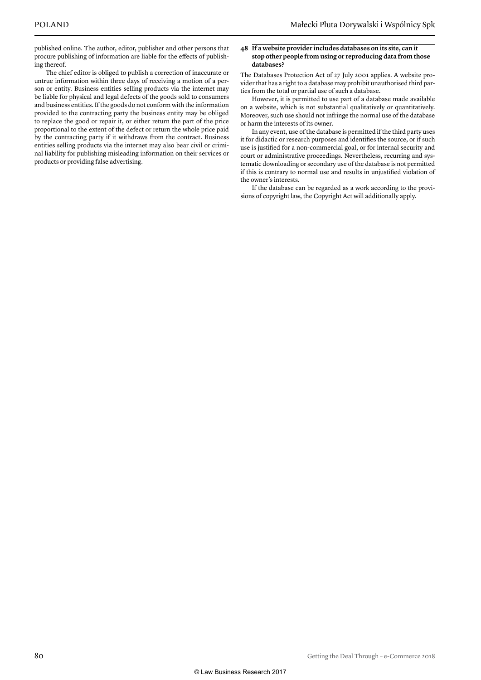published online. The author, editor, publisher and other persons that procure publishing of information are liable for the effects of publishing thereof.

The chief editor is obliged to publish a correction of inaccurate or untrue information within three days of receiving a motion of a person or entity. Business entities selling products via the internet may be liable for physical and legal defects of the goods sold to consumers and business entities. If the goods do not conform with the information provided to the contracting party the business entity may be obliged to replace the good or repair it, or either return the part of the price proportional to the extent of the defect or return the whole price paid by the contracting party if it withdraws from the contract. Business entities selling products via the internet may also bear civil or criminal liability for publishing misleading information on their services or products or providing false advertising.

#### **48 If a website provider includes databases on its site, can it stop other people from using or reproducing data from those databases?**

The Databases Protection Act of 27 July 2001 applies. A website provider that has a right to a database may prohibit unauthorised third parties from the total or partial use of such a database.

However, it is permitted to use part of a database made available on a website, which is not substantial qualitatively or quantitatively. Moreover, such use should not infringe the normal use of the database or harm the interests of its owner.

In any event, use of the database is permitted if the third party uses it for didactic or research purposes and identifies the source, or if such use is justified for a non-commercial goal, or for internal security and court or administrative proceedings. Nevertheless, recurring and systematic downloading or secondary use of the database is not permitted if this is contrary to normal use and results in unjustified violation of the owner's interests.

If the database can be regarded as a work according to the provisions of copyright law, the Copyright Act will additionally apply.